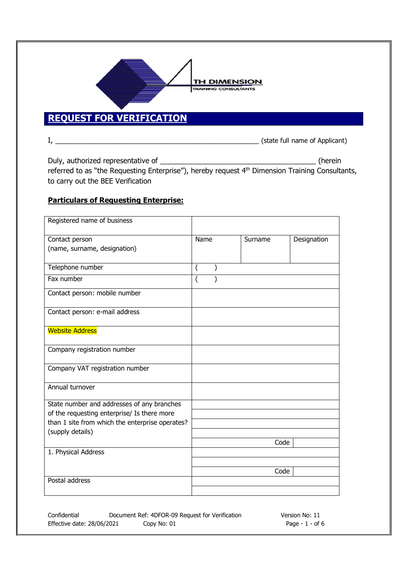

## **REQUEST FOR VERIFICATION**

I, \_\_\_\_\_\_\_\_\_\_\_\_\_\_\_\_\_\_\_\_\_\_\_\_\_\_\_\_\_\_\_\_\_\_\_\_\_\_\_\_\_\_\_\_\_\_\_\_\_\_\_ (state full name of Applicant)

Duly, authorized representative of \_\_\_\_\_\_\_\_\_\_\_\_\_\_\_\_\_\_\_\_\_\_\_\_\_\_\_\_\_\_\_\_\_\_\_\_\_\_\_ (herein referred to as "the Requesting Enterprise"), hereby request 4th Dimension Training Consultants, to carry out the BEE Verification

## **Particulars of Requesting Enterprise:**

| Registered name of business                                                                    |                  |         |             |
|------------------------------------------------------------------------------------------------|------------------|---------|-------------|
| Contact person                                                                                 | Name             | Surname | Designation |
| (name, surname, designation)                                                                   |                  |         |             |
| Telephone number                                                                               | $\overline{(\ }$ |         |             |
| Fax number                                                                                     | $\overline{(}$   |         |             |
| Contact person: mobile number                                                                  |                  |         |             |
| Contact person: e-mail address                                                                 |                  |         |             |
| <b>Website Address</b>                                                                         |                  |         |             |
| Company registration number                                                                    |                  |         |             |
| Company VAT registration number                                                                |                  |         |             |
| Annual turnover                                                                                |                  |         |             |
| State number and addresses of any branches                                                     |                  |         |             |
| of the requesting enterprise/ Is there more<br>than 1 site from which the enterprise operates? |                  |         |             |
| (supply details)                                                                               |                  |         |             |
|                                                                                                |                  | Code    |             |
| 1. Physical Address                                                                            |                  |         |             |
|                                                                                                |                  |         |             |
|                                                                                                |                  | Code    |             |
| Postal address                                                                                 |                  |         |             |
|                                                                                                |                  |         |             |

Confidential Document Ref: 4DFOR-09 Request for Verification Version No: 11 Effective date: 28/06/2021 Copy No: 01 Page - 1 - of 6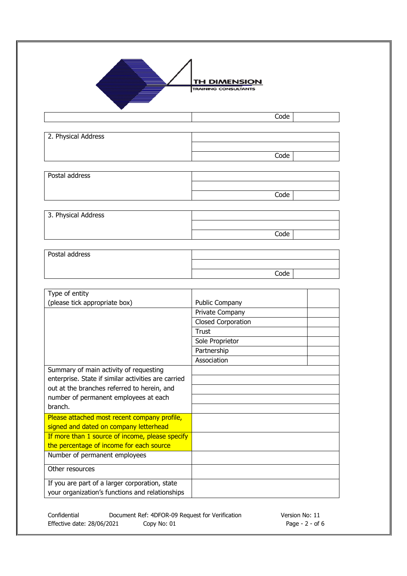

**TH DIMENSION** TRAINING CONSULTANTS

Code

| 2. Physical Address |      |
|---------------------|------|
|                     |      |
|                     | Code |

| Postal address |      |  |
|----------------|------|--|
|                |      |  |
|                | Code |  |
|                |      |  |

| 3. Physical Address |      |  |
|---------------------|------|--|
|                     |      |  |
|                     | Code |  |

| Postal address |      |  |
|----------------|------|--|
|                |      |  |
|                | Code |  |

| Type of entity                                      |                           |
|-----------------------------------------------------|---------------------------|
| (please tick appropriate box)                       | <b>Public Company</b>     |
|                                                     | Private Company           |
|                                                     | <b>Closed Corporation</b> |
|                                                     | Trust                     |
|                                                     | Sole Proprietor           |
|                                                     | Partnership               |
|                                                     | Association               |
| Summary of main activity of requesting              |                           |
| enterprise. State if similar activities are carried |                           |
| out at the branches referred to herein, and         |                           |
| number of permanent employees at each               |                           |
| branch.                                             |                           |
| Please attached most recent company profile,        |                           |
| signed and dated on company letterhead              |                           |
| If more than 1 source of income, please specify     |                           |
| the percentage of income for each source            |                           |
| Number of permanent employees                       |                           |
| Other resources                                     |                           |
| If you are part of a larger corporation, state      |                           |
| your organization's functions and relationships     |                           |

Confidential Document Ref: 4DFOR-09 Request for Verification Version No: 11<br>Effective date: 28/06/2021 Copy No: 01 Content Copy No: 01 Effective date: 28/06/2021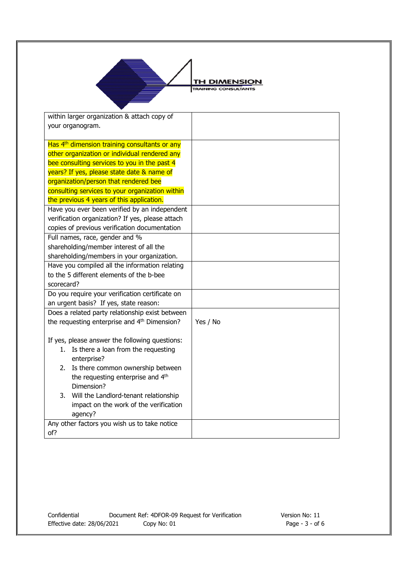

**TH DIMENSION** TRAINING CONSULTANTS

| within larger organization & attach copy of               |          |
|-----------------------------------------------------------|----------|
| your organogram.                                          |          |
|                                                           |          |
| Has 4 <sup>th</sup> dimension training consultants or any |          |
| other organization or individual rendered any             |          |
| bee consulting services to you in the past 4              |          |
| years? If yes, please state date & name of                |          |
| organization/person that rendered bee                     |          |
| consulting services to your organization within           |          |
| the previous 4 years of this application.                 |          |
| Have you ever been verified by an independent             |          |
| verification organization? If yes, please attach          |          |
| copies of previous verification documentation             |          |
| Full names, race, gender and %                            |          |
| shareholding/member interest of all the                   |          |
| shareholding/members in your organization.                |          |
| Have you compiled all the information relating            |          |
| to the 5 different elements of the b-bee                  |          |
| scorecard?                                                |          |
| Do you require your verification certificate on           |          |
| an urgent basis? If yes, state reason:                    |          |
| Does a related party relationship exist between           |          |
| the requesting enterprise and 4 <sup>th</sup> Dimension?  | Yes / No |
|                                                           |          |
| If yes, please answer the following questions:            |          |
| 1. Is there a loan from the requesting                    |          |
| enterprise?                                               |          |
| Is there common ownership between<br>2.                   |          |
| the requesting enterprise and 4th                         |          |
| Dimension?                                                |          |
| Will the Landlord-tenant relationship<br>3.               |          |
| impact on the work of the verification                    |          |
| agency?                                                   |          |
| Any other factors you wish us to take notice              |          |
| of?                                                       |          |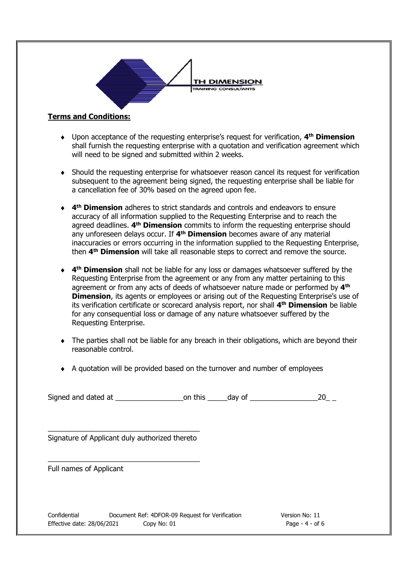

## **Terms and Conditions:**

- ♦ Upon acceptance of the requesting enterprise's request for verification, **4 th Dimension** shall furnish the requesting enterprise with a quotation and verification agreement which will need to be signed and submitted within 2 weeks.
- ♦ Should the requesting enterprise for whatsoever reason cancel its request for verification subsequent to the agreement being signed, the requesting enterprise shall be liable for a cancellation fee of 30% based on the agreed upon fee.
- ♦ **4 th Dimension** adheres to strict standards and controls and endeavors to ensure accuracy of all information supplied to the Requesting Enterprise and to reach the agreed deadlines. **4 th Dimension** commits to inform the requesting enterprise should any unforeseen delays occur. If **4 th Dimension** becomes aware of any material inaccuracies or errors occurring in the information supplied to the Requesting Enterprise, then **4 th Dimension** will take all reasonable steps to correct and remove the source.
- ♦ **4 th Dimension** shall not be liable for any loss or damages whatsoever suffered by the Requesting Enterprise from the agreement or any from any matter pertaining to this agreement or from any acts of deeds of whatsoever nature made or performed by **4 th Dimension**, its agents or employees or arising out of the Requesting Enterprise's use of its verification certificate or scorecard analysis report, nor shall **4 th Dimension** be liable for any consequential loss or damage of any nature whatsoever suffered by the Requesting Enterprise.
- ♦ The parties shall not be liable for any breach in their obligations, which are beyond their reasonable control.
- ♦ A quotation will be provided based on the turnover and number of employees

Signed and dated at  $\qquad \qquad \qquad \qquad$  on this  $\qquad \qquad$  day of  $\qquad \qquad \qquad \qquad \qquad \qquad \qquad$  20

\_\_\_\_\_\_\_\_\_\_\_\_\_\_\_\_\_\_\_\_\_\_\_\_\_\_\_\_\_\_\_\_\_\_\_\_\_\_ Signature of Applicant duly authorized thereto

\_\_\_\_\_\_\_\_\_\_\_\_\_\_\_\_\_\_\_\_\_\_\_\_\_\_\_\_\_\_\_\_\_\_\_\_\_\_

Full names of Applicant

Confidential Document Ref: 4DFOR-09 Request for Verification Version No: 11 Effective date: 28/06/2021 Copy No: 01 Page - 4 - of 6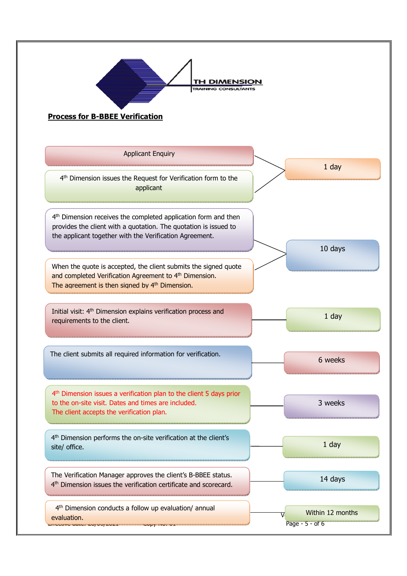